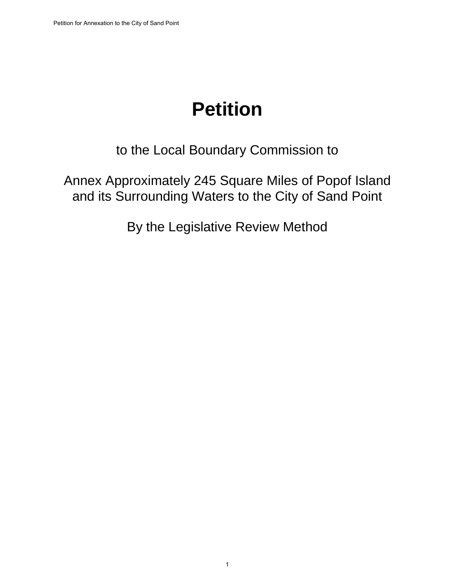# **Petition**

to the Local Boundary Commission to

Annex Approximately 245 Square Miles of Popof Island and its Surrounding Waters to the City of Sand Point

By the Legislative Review Method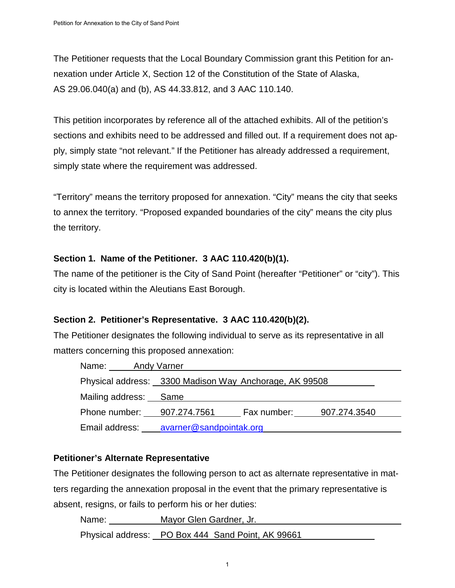The Petitioner requests that the Local Boundary Commission grant this Petition for annexation under Article X, Section 12 of the Constitution of the State of Alaska, AS 29.06.040(a) and (b), AS 44.33.812, and 3 AAC 110.140.

This petition incorporates by reference all of the attached exhibits. All of the petition's sections and exhibits need to be addressed and filled out. If a requirement does not apply, simply state "not relevant." If the Petitioner has already addressed a requirement, simply state where the requirement was addressed.

"Territory" means the territory proposed for annexation. "City" means the city that seeks to annex the territory. "Proposed expanded boundaries of the city" means the city plus the territory.

#### **Section 1. Name of the Petitioner. 3 AAC 110.420(b)(1).**

The name of the petitioner is the City of Sand Point (hereafter "Petitioner" or "city"). This city is located within the Aleutians East Borough.

#### **Section 2. Petitioner's Representative. 3 AAC 110.420(b)(2).**

The Petitioner designates the following individual to serve as its representative in all matters concerning this proposed annexation:

| Name:<br>Andy Varner  |                                                        |             |              |
|-----------------------|--------------------------------------------------------|-------------|--------------|
|                       | Physical address: 3300 Madison Way Anchorage, AK 99508 |             |              |
| Mailing address: Same |                                                        |             |              |
| Phone number:         | 907.274.7561                                           | Fax number: | 907.274.3540 |
| Email address:        | avarner@sandpointak.org                                |             |              |

#### **Petitioner's Alternate Representative**

The Petitioner designates the following person to act as alternate representative in matters regarding the annexation proposal in the event that the primary representative is absent, resigns, or fails to perform his or her duties:

Name: Mayor Glen Gardner, Jr.

Physical address: PO Box 444 Sand Point, AK 99661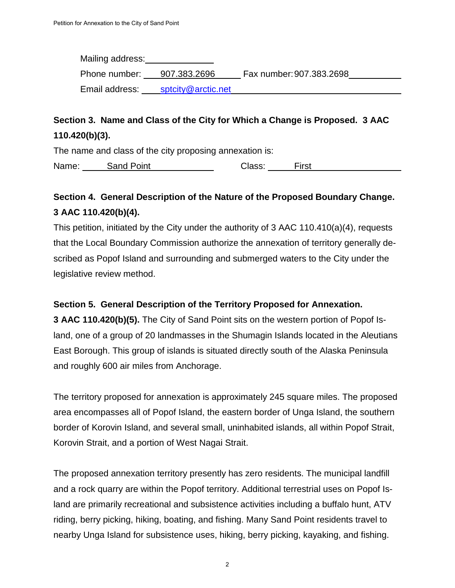| Mailing address: |                    |                          |  |
|------------------|--------------------|--------------------------|--|
| Phone number:    | 907.383.2696       | Fax number: 907.383.2698 |  |
| Email address:   | sptcity@arctic.net |                          |  |

## **Section 3. Name and Class of the City for Which a Change is Proposed. 3 AAC 110.420(b)(3).**

The name and class of the city proposing annexation is:

Name: Sand Point Class: First

## **Section 4. General Description of the Nature of the Proposed Boundary Change. 3 AAC 110.420(b)(4).**

This petition, initiated by the City under the authority of 3 AAC 110.410(a)(4), requests that the Local Boundary Commission authorize the annexation of territory generally described as Popof Island and surrounding and submerged waters to the City under the legislative review method.

#### **Section 5. General Description of the Territory Proposed for Annexation.**

**3 AAC 110.420(b)(5).** The City of Sand Point sits on the western portion of Popof Island, one of a group of 20 landmasses in the Shumagin Islands located in the Aleutians East Borough. This group of islands is situated directly south of the Alaska Peninsula and roughly 600 air miles from Anchorage.

The territory proposed for annexation is approximately 245 square miles. The proposed area encompasses all of Popof Island, the eastern border of Unga Island, the southern border of Korovin Island, and several small, uninhabited islands, all within Popof Strait, Korovin Strait, and a portion of West Nagai Strait.

The proposed annexation territory presently has zero residents. The municipal landfill and a rock quarry are within the Popof territory. Additional terrestrial uses on Popof Island are primarily recreational and subsistence activities including a buffalo hunt, ATV riding, berry picking, hiking, boating, and fishing. Many Sand Point residents travel to nearby Unga Island for subsistence uses, hiking, berry picking, kayaking, and fishing.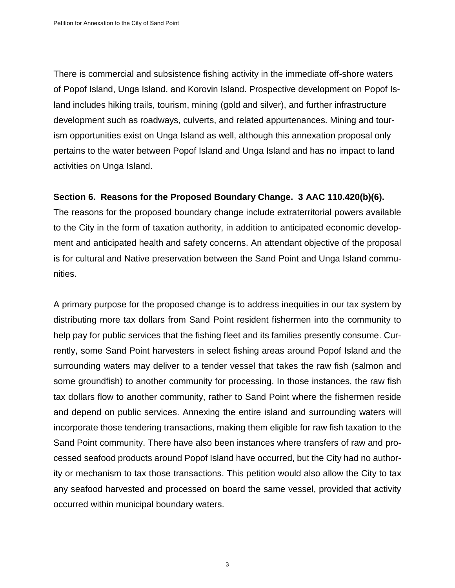There is commercial and subsistence fishing activity in the immediate off-shore waters of Popof Island, Unga Island, and Korovin Island. Prospective development on Popof Island includes hiking trails, tourism, mining (gold and silver), and further infrastructure development such as roadways, culverts, and related appurtenances. Mining and tourism opportunities exist on Unga Island as well, although this annexation proposal only pertains to the water between Popof Island and Unga Island and has no impact to land activities on Unga Island.

#### **Section 6. Reasons for the Proposed Boundary Change. 3 AAC 110.420(b)(6).**

The reasons for the proposed boundary change include extraterritorial powers available to the City in the form of taxation authority, in addition to anticipated economic development and anticipated health and safety concerns. An attendant objective of the proposal is for cultural and Native preservation between the Sand Point and Unga Island communities.

A primary purpose for the proposed change is to address inequities in our tax system by distributing more tax dollars from Sand Point resident fishermen into the community to help pay for public services that the fishing fleet and its families presently consume. Currently, some Sand Point harvesters in select fishing areas around Popof Island and the surrounding waters may deliver to a tender vessel that takes the raw fish (salmon and some groundfish) to another community for processing. In those instances, the raw fish tax dollars flow to another community, rather to Sand Point where the fishermen reside and depend on public services. Annexing the entire island and surrounding waters will incorporate those tendering transactions, making them eligible for raw fish taxation to the Sand Point community. There have also been instances where transfers of raw and processed seafood products around Popof Island have occurred, but the City had no authority or mechanism to tax those transactions. This petition would also allow the City to tax any seafood harvested and processed on board the same vessel, provided that activity occurred within municipal boundary waters.

3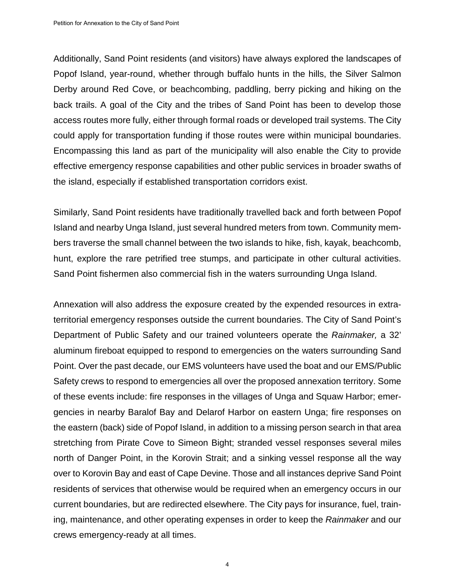Additionally, Sand Point residents (and visitors) have always explored the landscapes of Popof Island, year-round, whether through buffalo hunts in the hills, the Silver Salmon Derby around Red Cove, or beachcombing, paddling, berry picking and hiking on the back trails. A goal of the City and the tribes of Sand Point has been to develop those access routes more fully, either through formal roads or developed trail systems. The City could apply for transportation funding if those routes were within municipal boundaries. Encompassing this land as part of the municipality will also enable the City to provide effective emergency response capabilities and other public services in broader swaths of the island, especially if established transportation corridors exist.

Similarly, Sand Point residents have traditionally travelled back and forth between Popof Island and nearby Unga Island, just several hundred meters from town. Community members traverse the small channel between the two islands to hike, fish, kayak, beachcomb, hunt, explore the rare petrified tree stumps, and participate in other cultural activities. Sand Point fishermen also commercial fish in the waters surrounding Unga Island.

Annexation will also address the exposure created by the expended resources in extraterritorial emergency responses outside the current boundaries. The City of Sand Point's Department of Public Safety and our trained volunteers operate the *Rainmaker,* a 32' aluminum fireboat equipped to respond to emergencies on the waters surrounding Sand Point. Over the past decade, our EMS volunteers have used the boat and our EMS/Public Safety crews to respond to emergencies all over the proposed annexation territory. Some of these events include: fire responses in the villages of Unga and Squaw Harbor; emergencies in nearby Baralof Bay and Delarof Harbor on eastern Unga; fire responses on the eastern (back) side of Popof Island, in addition to a missing person search in that area stretching from Pirate Cove to Simeon Bight; stranded vessel responses several miles north of Danger Point, in the Korovin Strait; and a sinking vessel response all the way over to Korovin Bay and east of Cape Devine. Those and all instances deprive Sand Point residents of services that otherwise would be required when an emergency occurs in our current boundaries, but are redirected elsewhere. The City pays for insurance, fuel, training, maintenance, and other operating expenses in order to keep the *Rainmaker* and our crews emergency-ready at all times.

4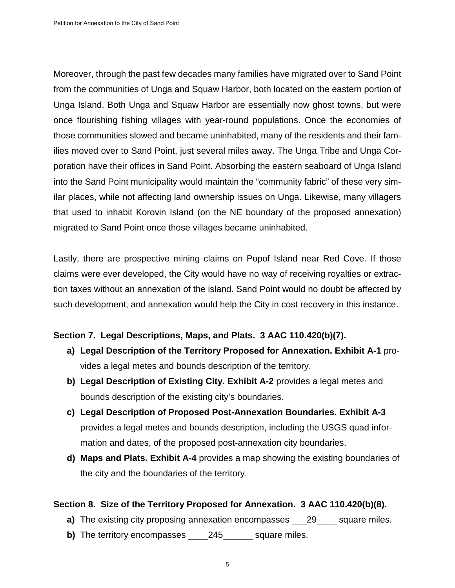Moreover, through the past few decades many families have migrated over to Sand Point from the communities of Unga and Squaw Harbor, both located on the eastern portion of Unga Island. Both Unga and Squaw Harbor are essentially now ghost towns, but were once flourishing fishing villages with year-round populations. Once the economies of those communities slowed and became uninhabited, many of the residents and their families moved over to Sand Point, just several miles away. The Unga Tribe and Unga Corporation have their offices in Sand Point. Absorbing the eastern seaboard of Unga Island into the Sand Point municipality would maintain the "community fabric" of these very similar places, while not affecting land ownership issues on Unga. Likewise, many villagers that used to inhabit Korovin Island (on the NE boundary of the proposed annexation) migrated to Sand Point once those villages became uninhabited.

Lastly, there are prospective mining claims on Popof Island near Red Cove. If those claims were ever developed, the City would have no way of receiving royalties or extraction taxes without an annexation of the island. Sand Point would no doubt be affected by such development, and annexation would help the City in cost recovery in this instance.

#### **Section 7. Legal Descriptions, Maps, and Plats. 3 AAC 110.420(b)(7).**

- **a) Legal Description of the Territory Proposed for Annexation. Exhibit A-1** provides a legal metes and bounds description of the territory.
- **b) Legal Description of Existing City. Exhibit A-2** provides a legal metes and bounds description of the existing city's boundaries.
- **c) Legal Description of Proposed Post-Annexation Boundaries. Exhibit A-3**  provides a legal metes and bounds description, including the USGS quad information and dates, of the proposed post-annexation city boundaries.
- **d) Maps and Plats. Exhibit A-4** provides a map showing the existing boundaries of the city and the boundaries of the territory.

#### **Section 8. Size of the Territory Proposed for Annexation. 3 AAC 110.420(b)(8).**

- **a)** The existing city proposing annexation encompasses \_\_\_29\_\_\_\_ square miles.
- **b)** The territory encompasses 245 gauare miles.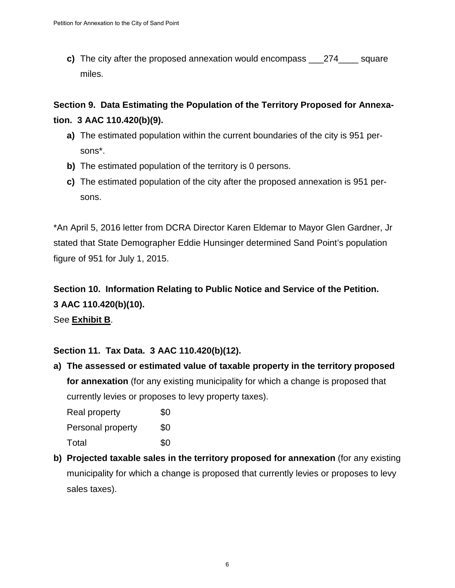**c)** The city after the proposed annexation would encompass 274 square miles.

**Section 9. Data Estimating the Population of the Territory Proposed for Annexation. 3 AAC 110.420(b)(9).**

- **a)** The estimated population within the current boundaries of the city is 951 persons\*.
- **b)** The estimated population of the territory is 0 persons.
- **c)** The estimated population of the city after the proposed annexation is 951 persons.

\*An April 5, 2016 letter from DCRA Director Karen Eldemar to Mayor Glen Gardner, Jr stated that State Demographer Eddie Hunsinger determined Sand Point's population figure of 951 for July 1, 2015.

# **Section 10. Information Relating to Public Notice and Service of the Petition. 3 AAC 110.420(b)(10).**

See **Exhibit B**.

#### **Section 11. Tax Data. 3 AAC 110.420(b)(12).**

**a) The assessed or estimated value of taxable property in the territory proposed for annexation** (for any existing municipality for which a change is proposed that currently levies or proposes to levy property taxes).

Real property \$0 Personal property \$0 Total \$0

**b) Projected taxable sales in the territory proposed for annexation** (for any existing municipality for which a change is proposed that currently levies or proposes to levy sales taxes).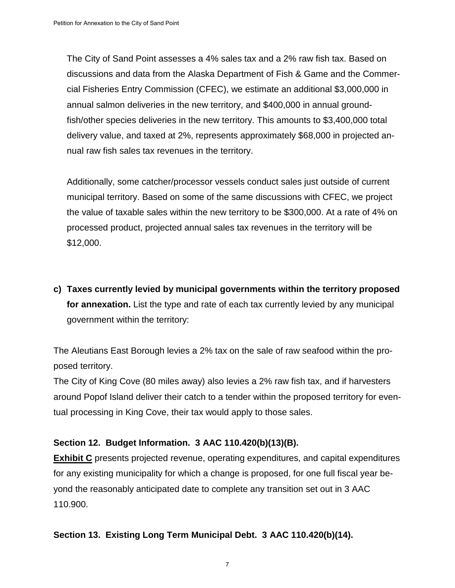The City of Sand Point assesses a 4% sales tax and a 2% raw fish tax. Based on discussions and data from the Alaska Department of Fish & Game and the Commercial Fisheries Entry Commission (CFEC), we estimate an additional \$3,000,000 in annual salmon deliveries in the new territory, and \$400,000 in annual groundfish/other species deliveries in the new territory. This amounts to \$3,400,000 total delivery value, and taxed at 2%, represents approximately \$68,000 in projected annual raw fish sales tax revenues in the territory.

Additionally, some catcher/processor vessels conduct sales just outside of current municipal territory. Based on some of the same discussions with CFEC, we project the value of taxable sales within the new territory to be \$300,000. At a rate of 4% on processed product, projected annual sales tax revenues in the territory will be \$12,000.

**c) Taxes currently levied by municipal governments within the territory proposed for annexation.** List the type and rate of each tax currently levied by any municipal government within the territory:

The Aleutians East Borough levies a 2% tax on the sale of raw seafood within the proposed territory.

The City of King Cove (80 miles away) also levies a 2% raw fish tax, and if harvesters around Popof Island deliver their catch to a tender within the proposed territory for eventual processing in King Cove, their tax would apply to those sales.

#### **Section 12. Budget Information. 3 AAC 110.420(b)(13)(B).**

**Exhibit C** presents projected revenue, operating expenditures, and capital expenditures for any existing municipality for which a change is proposed, for one full fiscal year beyond the reasonably anticipated date to complete any transition set out in 3 AAC 110.900.

#### **Section 13. Existing Long Term Municipal Debt. 3 AAC 110.420(b)(14).**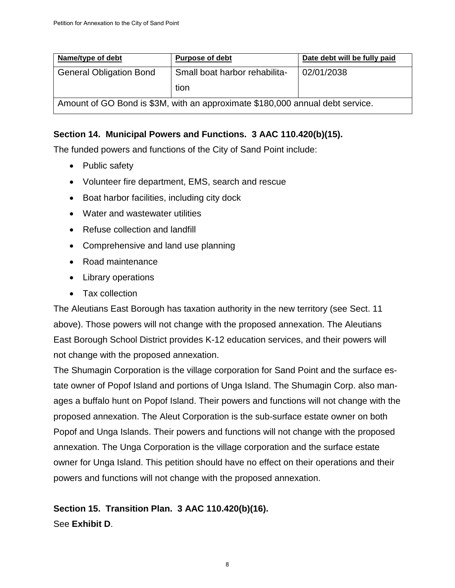| Name/type of debt              | <b>Purpose of debt</b>                                                        | Date debt will be fully paid |
|--------------------------------|-------------------------------------------------------------------------------|------------------------------|
| <b>General Obligation Bond</b> | Small boat harbor rehabilita-                                                 | 02/01/2038                   |
|                                | tion                                                                          |                              |
|                                | Amount of GO Bond is \$3M, with an approximate \$180,000 annual debt service. |                              |

#### **Section 14. Municipal Powers and Functions. 3 AAC 110.420(b)(15).**

The funded powers and functions of the City of Sand Point include:

- Public safety
- Volunteer fire department, EMS, search and rescue
- Boat harbor facilities, including city dock
- Water and wastewater utilities
- Refuse collection and landfill
- Comprehensive and land use planning
- Road maintenance
- Library operations
- Tax collection

The Aleutians East Borough has taxation authority in the new territory (see Sect. 11 above). Those powers will not change with the proposed annexation. The Aleutians East Borough School District provides K-12 education services, and their powers will not change with the proposed annexation.

The Shumagin Corporation is the village corporation for Sand Point and the surface estate owner of Popof Island and portions of Unga Island. The Shumagin Corp. also manages a buffalo hunt on Popof Island. Their powers and functions will not change with the proposed annexation. The Aleut Corporation is the sub-surface estate owner on both Popof and Unga Islands. Their powers and functions will not change with the proposed annexation. The Unga Corporation is the village corporation and the surface estate owner for Unga Island. This petition should have no effect on their operations and their powers and functions will not change with the proposed annexation.

# **Section 15. Transition Plan. 3 AAC 110.420(b)(16).**

See **Exhibit D**.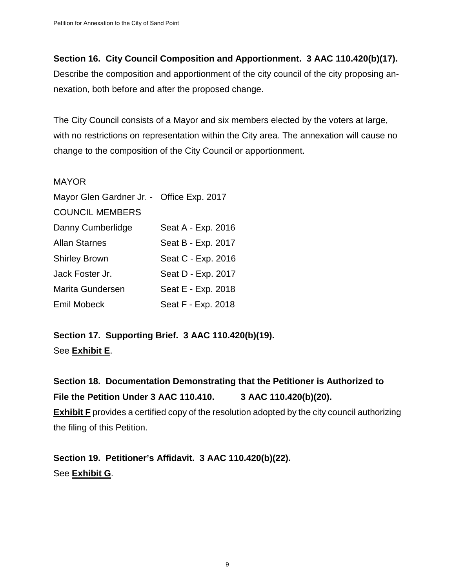#### **Section 16. City Council Composition and Apportionment. 3 AAC 110.420(b)(17).**

Describe the composition and apportionment of the city council of the city proposing annexation, both before and after the proposed change.

The City Council consists of a Mayor and six members elected by the voters at large, with no restrictions on representation within the City area. The annexation will cause no change to the composition of the City Council or apportionment.

#### MAYOR

| Mayor Glen Gardner Jr. - Office Exp. 2017 |                    |
|-------------------------------------------|--------------------|
| <b>COUNCIL MEMBERS</b>                    |                    |
| Danny Cumberlidge                         | Seat A - Exp. 2016 |
| <b>Allan Starnes</b>                      | Seat B - Exp. 2017 |
| <b>Shirley Brown</b>                      | Seat C - Exp. 2016 |
| Jack Foster Jr.                           | Seat D - Exp. 2017 |
| <b>Marita Gundersen</b>                   | Seat E - Exp. 2018 |
| <b>Emil Mobeck</b>                        | Seat F - Exp. 2018 |

## **Section 17. Supporting Brief. 3 AAC 110.420(b)(19).** See **Exhibit E**.

**Section 18. Documentation Demonstrating that the Petitioner is Authorized to File the Petition Under 3 AAC 110.410. 3 AAC 110.420(b)(20). Exhibit F** provides a certified copy of the resolution adopted by the city council authorizing the filing of this Petition.

**Section 19. Petitioner's Affidavit. 3 AAC 110.420(b)(22).** See **Exhibit G**.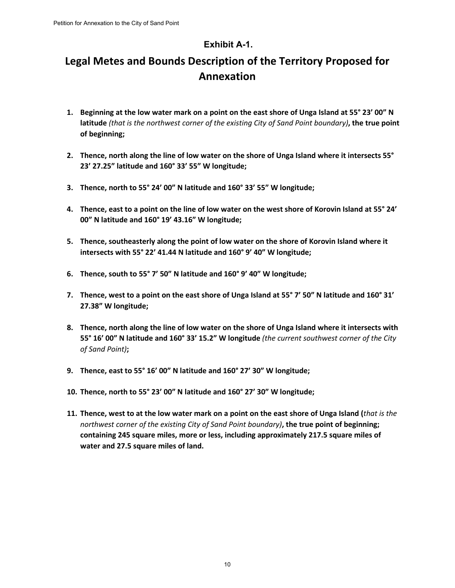#### **Exhibit A-1.**

# **Legal Metes and Bounds Description of the Territory Proposed for Annexation**

- **1. Beginning at the low water mark on a point on the east shore of Unga Island at 55° 23' 00" N latitude** *(that is the northwest corner of the existing City of Sand Point boundary)***, the true point of beginning;**
- **2. Thence, north along the line of low water on the shore of Unga Island where it intersects 55° 23' 27.25" latitude and 160° 33' 55" W longitude;**
- **3. Thence, north to 55° 24' 00" N latitude and 160° 33' 55" W longitude;**
- **4. Thence, east to a point on the line of low water on the west shore of Korovin Island at 55° 24' 00" N latitude and 160° 19' 43.16" W longitude;**
- **5. Thence, southeasterly along the point of low water on the shore of Korovin Island where it intersects with 55° 22' 41.44 N latitude and 160° 9' 40" W longitude;**
- **6. Thence, south to 55° 7' 50" N latitude and 160° 9' 40" W longitude;**
- **7. Thence, west to a point on the east shore of Unga Island at 55° 7' 50" N latitude and 160° 31' 27.38" W longitude;**
- **8. Thence, north along the line of low water on the shore of Unga Island where it intersects with 55° 16' 00" N latitude and 160° 33' 15.2" W longitude** *(the current southwest corner of the City of Sand Point)***;**
- **9. Thence, east to 55° 16' 00" N latitude and 160° 27' 30" W longitude;**
- **10. Thence, north to 55° 23' 00" N latitude and 160° 27' 30" W longitude;**
- **11. Thence, west to at the low water mark on a point on the east shore of Unga Island (***that is the northwest corner of the existing City of Sand Point boundary)***, the true point of beginning; containing 245 square miles, more or less, including approximately 217.5 square miles of water and 27.5 square miles of land.**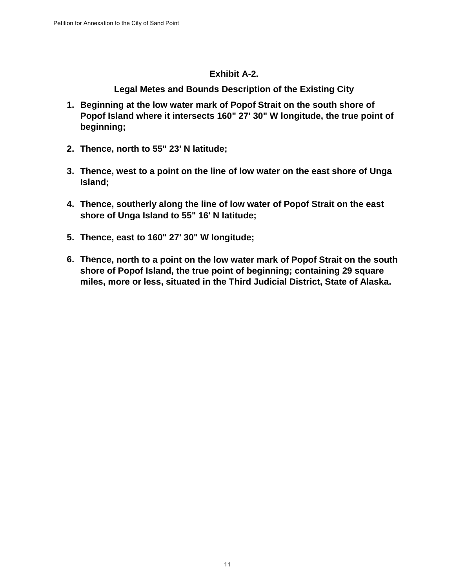#### **Exhibit A-2.**

**Legal Metes and Bounds Description of the Existing City**

- **1. Beginning at the low water mark of Popof Strait on the south shore of Popof Island where it intersects 160" 27' 30" W longitude, the true point of beginning;**
- **2. Thence, north to 55" 23' N latitude;**
- **3. Thence, west to a point on the line of low water on the east shore of Unga Island;**
- **4. Thence, southerly along the line of low water of Popof Strait on the east shore of Unga Island to 55" 16' N latitude;**
- **5. Thence, east to 160" 27' 30" W longitude;**
- **6. Thence, north to a point on the low water mark of Popof Strait on the south shore of Popof Island, the true point of beginning; containing 29 square miles, more or less, situated in the Third Judicial District, State of Alaska.**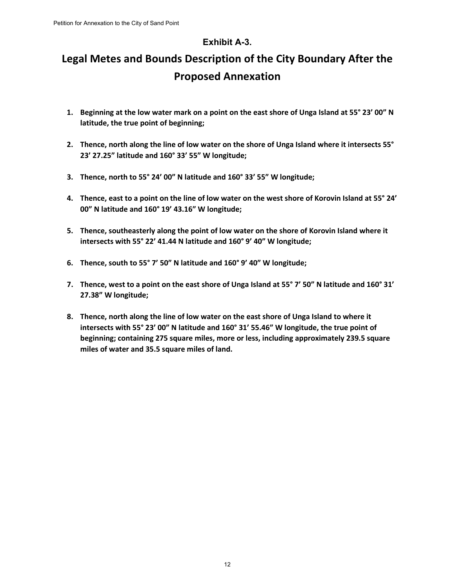#### **Exhibit A-3.**

# **Legal Metes and Bounds Description of the City Boundary After the Proposed Annexation**

- **1. Beginning at the low water mark on a point on the east shore of Unga Island at 55° 23' 00" N latitude, the true point of beginning;**
- **2. Thence, north along the line of low water on the shore of Unga Island where it intersects 55° 23' 27.25" latitude and 160° 33' 55" W longitude;**
- **3. Thence, north to 55° 24' 00" N latitude and 160° 33' 55" W longitude;**
- **4. Thence, east to a point on the line of low water on the west shore of Korovin Island at 55° 24' 00" N latitude and 160° 19' 43.16" W longitude;**
- **5. Thence, southeasterly along the point of low water on the shore of Korovin Island where it intersects with 55° 22' 41.44 N latitude and 160° 9' 40" W longitude;**
- **6. Thence, south to 55° 7' 50" N latitude and 160° 9' 40" W longitude;**
- **7. Thence, west to a point on the east shore of Unga Island at 55° 7' 50" N latitude and 160° 31' 27.38" W longitude;**
- **8. Thence, north along the line of low water on the east shore of Unga Island to where it intersects with 55° 23' 00" N latitude and 160° 31' 55.46" W longitude, the true point of beginning; containing 275 square miles, more or less, including approximately 239.5 square miles of water and 35.5 square miles of land.**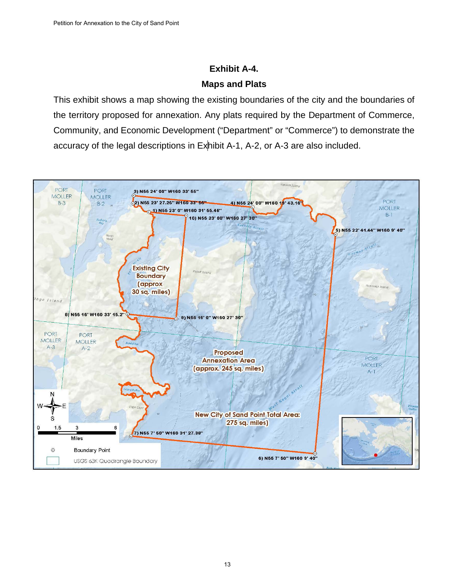### **Exhibit A-4. Maps and Plats**

This exhibit shows a map showing the existing boundaries of the city and the boundaries of the territory proposed for annexation. Any plats required by the Department of Commerce, Community, and Economic Development ("Department" or "Commerce") to demonstrate the accuracy of the legal descriptions in Exhibit A-1, A-2, or A-3 are also included.

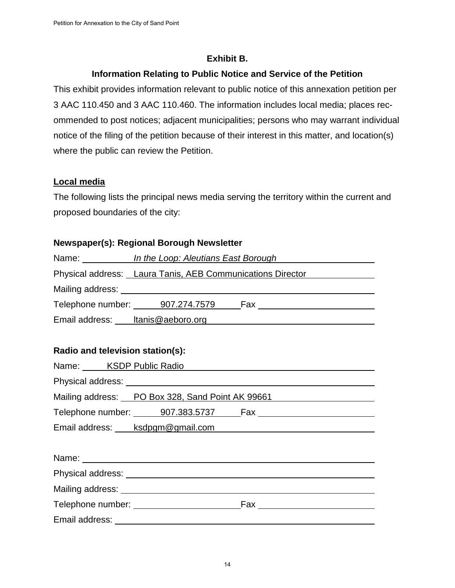#### **Exhibit B.**

#### **Information Relating to Public Notice and Service of the Petition**

This exhibit provides information relevant to public notice of this annexation petition per 3 AAC 110.450 and 3 AAC 110.460. The information includes local media; places recommended to post notices; adjacent municipalities; persons who may warrant individual notice of the filing of the petition because of their interest in this matter, and location(s) where the public can review the Petition.

#### **Local media**

The following lists the principal news media serving the territory within the current and proposed boundaries of the city:

#### **Newspaper(s): Regional Borough Newsletter**

|                                  |                                                                                                                                                                                                                                | Name: <i>In the Loop: Aleutians East Borough</i>           |
|----------------------------------|--------------------------------------------------------------------------------------------------------------------------------------------------------------------------------------------------------------------------------|------------------------------------------------------------|
|                                  |                                                                                                                                                                                                                                | Physical address: Laura Tanis, AEB Communications Director |
|                                  |                                                                                                                                                                                                                                |                                                            |
|                                  |                                                                                                                                                                                                                                |                                                            |
|                                  |                                                                                                                                                                                                                                | Email address: http://www.brandboro.org/www.html           |
|                                  |                                                                                                                                                                                                                                |                                                            |
| Radio and television station(s): |                                                                                                                                                                                                                                |                                                            |
|                                  |                                                                                                                                                                                                                                | Name: KSDP Public Radio                                    |
|                                  |                                                                                                                                                                                                                                |                                                            |
|                                  |                                                                                                                                                                                                                                | Mailing address: PO Box 328, Sand Point AK 99661           |
|                                  |                                                                                                                                                                                                                                |                                                            |
|                                  |                                                                                                                                                                                                                                |                                                            |
|                                  |                                                                                                                                                                                                                                |                                                            |
|                                  |                                                                                                                                                                                                                                |                                                            |
|                                  |                                                                                                                                                                                                                                |                                                            |
|                                  | Mailing address: Universe and Separate and Separate and Separate and Separate and Separate and Separate and Separate and Separate and Separate and Separate and Separate and Separate and Separate and Separate and Separate a |                                                            |
|                                  |                                                                                                                                                                                                                                |                                                            |
|                                  |                                                                                                                                                                                                                                |                                                            |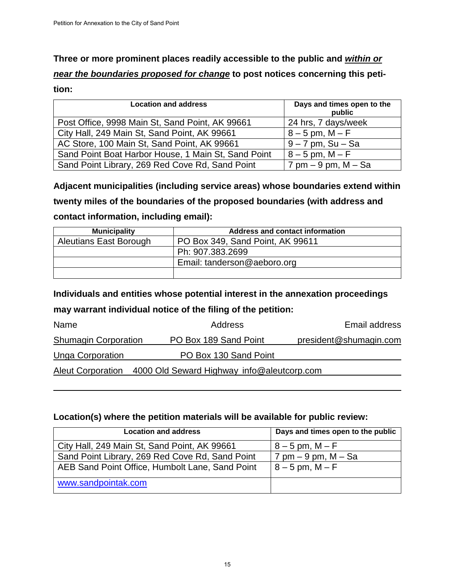**Three or more prominent places readily accessible to the public and** *within or near the boundaries proposed for change* **to post notices concerning this peti-**

**tion:** 

| <b>Location and address</b>                         | Days and times open to the<br>public     |
|-----------------------------------------------------|------------------------------------------|
| Post Office, 9998 Main St, Sand Point, AK 99661     | 24 hrs, 7 days/week                      |
| City Hall, 249 Main St, Sand Point, AK 99661        | $8 - 5$ pm, M $- F$                      |
| AC Store, 100 Main St, Sand Point, AK 99661         | $9 - 7$ pm, Su - Sa                      |
| Sand Point Boat Harbor House, 1 Main St, Sand Point | $8 - 5$ pm, M $- F$                      |
| Sand Point Library, 269 Red Cove Rd, Sand Point     | $7 \text{ pm} - 9 \text{ pm}$ , M $-$ Sa |

**Adjacent municipalities (including service areas) whose boundaries extend within twenty miles of the boundaries of the proposed boundaries (with address and contact information, including email):**

| <b>Municipality</b>           | Address and contact information  |
|-------------------------------|----------------------------------|
| <b>Aleutians East Borough</b> | PO Box 349, Sand Point, AK 99611 |
|                               | Ph: 907.383.2699                 |
|                               | Email: tanderson@aeboro.org      |
|                               |                                  |

#### **Individuals and entities whose potential interest in the annexation proceedings**

#### **may warrant individual notice of the filing of the petition:**

| Name                        | Address                                                      | Email address          |
|-----------------------------|--------------------------------------------------------------|------------------------|
| <b>Shumagin Corporation</b> | PO Box 189 Sand Point                                        | president@shumagin.com |
| <b>Unga Corporation</b>     | PO Box 130 Sand Point                                        |                        |
|                             | Aleut Corporation 4000 Old Seward Highway info@aleutcorp.com |                        |

\_\_\_\_\_\_\_\_\_\_\_\_\_\_\_\_

#### **Location(s) where the petition materials will be available for public review:**

| <b>Location and address</b>                     | Days and times open to the public |
|-------------------------------------------------|-----------------------------------|
| City Hall, 249 Main St, Sand Point, AK 99661    | $8 - 5$ pm, M $- F$               |
| Sand Point Library, 269 Red Cove Rd, Sand Point | $7$ pm $-9$ pm, M $-$ Sa          |
| AEB Sand Point Office, Humbolt Lane, Sand Point | $8 - 5$ pm, M $- F$               |
| www.sandpointak.com                             |                                   |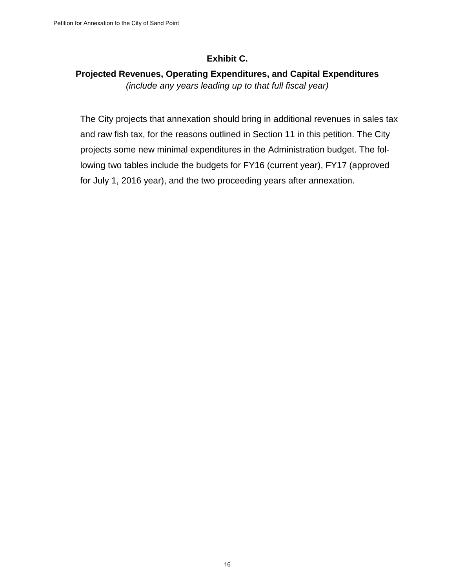#### **Exhibit C.**

#### **Projected Revenues, Operating Expenditures, and Capital Expenditures** *(include any years leading up to that full fiscal year)*

The City projects that annexation should bring in additional revenues in sales tax and raw fish tax, for the reasons outlined in Section 11 in this petition. The City projects some new minimal expenditures in the Administration budget. The following two tables include the budgets for FY16 (current year), FY17 (approved for July 1, 2016 year), and the two proceeding years after annexation.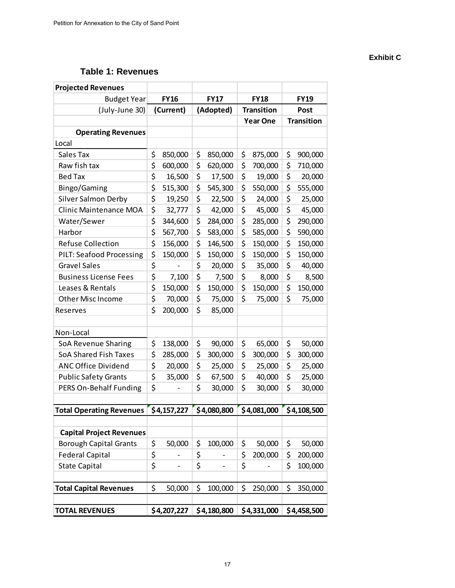#### **Table 1: Revenues**

| <b>Projected Revenues</b>       |           |             |           |             |                   |             |                   |             |  |
|---------------------------------|-----------|-------------|-----------|-------------|-------------------|-------------|-------------------|-------------|--|
| <b>Budget Year</b>              |           | <b>FY16</b> |           | <b>FY17</b> |                   | <b>FY18</b> |                   | <b>FY19</b> |  |
| (July-June 30)                  | (Current) |             | (Adopted) |             | <b>Transition</b> |             | Post              |             |  |
|                                 |           |             |           |             | <b>Year One</b>   |             | <b>Transition</b> |             |  |
| <b>Operating Revenues</b>       |           |             |           |             |                   |             |                   |             |  |
| Local                           |           |             |           |             |                   |             |                   |             |  |
| Sales Tax                       | \$        | 850,000     | \$        | 850,000     | \$                | 875,000     | \$                | 900,000     |  |
| Raw fish tax                    | \$        | 600,000     | \$        | 620,000     | \$                | 700,000     | \$                | 710,000     |  |
| <b>Bed Tax</b>                  | \$        | 16,500      | \$        | 17,500      | \$                | 19,000      | \$                | 20,000      |  |
| Bingo/Gaming                    | \$        | 515,300     | \$        | 545,300     | \$                | 550,000     | \$                | 555,000     |  |
| Silver Salmon Derby             | \$        | 19,250      | \$        | 22,500      | \$                | 24,000      | \$                | 25,000      |  |
| Clinic Maintenance MOA          | \$        | 32,777      | \$        | 42,000      | \$                | 45,000      | \$                | 45,000      |  |
| Water/Sewer                     | \$        | 344,600     | \$        | 284,000     | \$                | 285,000     | \$                | 290,000     |  |
| Harbor                          | \$        | 567,700     | \$        | 583,000     | \$                | 585,000     | \$                | 590,000     |  |
| <b>Refuse Collection</b>        | \$        | 156,000     | \$        | 146,500     | \$                | 150,000     | \$                | 150,000     |  |
| <b>PILT: Seafood Processing</b> | \$        | 150,000     | \$        | 150,000     | \$                | 150,000     | \$                | 150,000     |  |
| <b>Gravel Sales</b>             | \$        |             | \$        | 20,000      | \$                | 35,000      | \$                | 40,000      |  |
| <b>Business License Fees</b>    | \$        | 7,100       | \$        | 7,500       | \$                | 8,000       | \$                | 8,500       |  |
| Leases & Rentals                | \$        | 150,000     | \$        | 150,000     | \$                | 150,000     | \$                | 150,000     |  |
| Other Misc Income               | \$        | 70,000      | \$        | 75,000      | \$                | 75,000      | \$                | 75,000      |  |
| Reserves                        | \$        | 200,000     | \$        | 85,000      |                   |             |                   |             |  |
|                                 |           |             |           |             |                   |             |                   |             |  |
| Non-Local                       |           |             |           |             |                   |             |                   |             |  |
| <b>SoA Revenue Sharing</b>      | \$        | 138,000     | \$        | 90,000      | \$                | 65,000      | \$                | 50,000      |  |
| <b>SoA Shared Fish Taxes</b>    | \$        | 285,000     | \$        | 300,000     | \$                | 300,000     | \$                | 300,000     |  |
| <b>ANC Office Dividend</b>      | \$        | 20,000      | \$        | 25,000      | \$                | 25,000      | \$                | 25,000      |  |
| <b>Public Safety Grants</b>     | \$        | 35,000      | \$        | 67,500      | \$                | 40,000      | \$                | 25,000      |  |
| PERS On-Behalf Funding          | \$        |             | \$        | 30,000      | \$                | 30,000      | \$                | 30,000      |  |
|                                 |           |             |           |             |                   |             |                   |             |  |
| <b>Total Operating Revenues</b> |           | \$4,157,227 |           | \$4,080,800 |                   | \$4,081,000 |                   | \$4,108,500 |  |
|                                 |           |             |           |             |                   |             |                   |             |  |
| <b>Capital Project Revenues</b> |           |             |           |             |                   |             |                   |             |  |
| <b>Borough Capital Grants</b>   | \$        | 50,000      | \$        | 100,000     | \$                | 50,000      | \$                | 50,000      |  |
| <b>Federal Capital</b>          | \$        |             | \$        |             | \$                | 200,000     | \$                | 200,000     |  |
| <b>State Capital</b>            | \$        | -           | \$        | -           | \$                |             | \$                | 100,000     |  |
|                                 |           |             |           |             |                   |             |                   |             |  |
| <b>Total Capital Revenues</b>   | \$        | 50,000      | \$        | 100,000     | \$                | 250,000     | \$                | 350,000     |  |
|                                 |           |             |           |             |                   |             |                   |             |  |
| <b>TOTAL REVENUES</b>           |           | \$4,207,227 |           | \$4,180,800 |                   | \$4,331,000 |                   | \$4,458,500 |  |

#### **Exhibit C**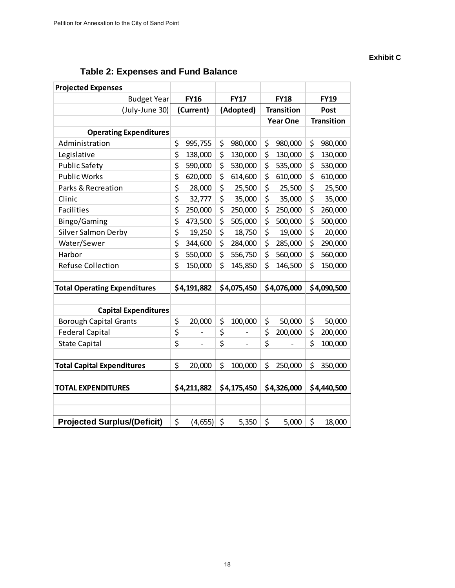#### **Exhibit C**

# **Table 2: Expenses and Fund Balance**

| <b>Projected Expenses</b>           |                                |           |                          |                   |                 |      |                   |
|-------------------------------------|--------------------------------|-----------|--------------------------|-------------------|-----------------|------|-------------------|
| <b>Budget Year</b>                  | <b>FY16</b>                    |           | <b>FY17</b>              |                   | <b>FY18</b>     |      | <b>FY19</b>       |
| (July-June 30)                      | (Current)                      | (Adopted) |                          | <b>Transition</b> |                 | Post |                   |
|                                     |                                |           |                          |                   | <b>Year One</b> |      | <b>Transition</b> |
| <b>Operating Expenditures</b>       |                                |           |                          |                   |                 |      |                   |
| Administration                      | \$<br>995,755                  | \$        | 980,000                  | \$                | 980,000         | \$   | 980,000           |
| Legislative                         | \$<br>138,000                  | \$        | 130,000                  | \$                | 130,000         | \$   | 130,000           |
| <b>Public Safety</b>                | \$<br>590,000                  | \$        | 530,000                  | \$                | 535,000         | \$   | 530,000           |
| <b>Public Works</b>                 | \$<br>620,000                  | \$        | 614,600                  | \$                | 610,000         | \$   | 610,000           |
| Parks & Recreation                  | \$<br>28,000                   | \$        | 25,500                   | \$                | 25,500          | \$   | 25,500            |
| Clinic                              | \$<br>32,777                   | \$        | 35,000                   | \$                | 35,000          | \$   | 35,000            |
| <b>Facilities</b>                   | \$<br>250,000                  | \$        | 250,000                  | \$                | 250,000         | \$   | 260,000           |
| Bingo/Gaming                        | \$<br>473,500                  | \$        | 505,000                  | \$                | 500,000         | \$   | 500,000           |
| Silver Salmon Derby                 | \$<br>19,250                   | \$        | 18,750                   | \$                | 19,000          | \$   | 20,000            |
| Water/Sewer                         | \$<br>344,600                  | \$        | 284,000                  | \$                | 285,000         | \$   | 290,000           |
| Harbor                              | \$<br>550,000                  | \$        | 556,750                  | \$                | 560,000         | \$   | 560,000           |
| <b>Refuse Collection</b>            | \$<br>150,000                  | \$        | 145,850                  | \$                | 146,500         | \$   | 150,000           |
|                                     |                                |           |                          |                   |                 |      |                   |
| <b>Total Operating Expenditures</b> | \$4,191,882                    |           | \$4,075,450              |                   | \$4,076,000     |      | \$4,090,500       |
|                                     |                                |           |                          |                   |                 |      |                   |
| <b>Capital Expenditures</b>         |                                |           |                          |                   |                 |      |                   |
| <b>Borough Capital Grants</b>       | \$<br>20,000                   | \$        | 100,000                  | \$                | 50,000          | \$   | 50,000            |
| <b>Federal Capital</b>              | \$<br>$\overline{\phantom{0}}$ | \$        | $\overline{\phantom{a}}$ | \$                | 200,000         | \$   | 200,000           |
| <b>State Capital</b>                | \$                             | \$        |                          | \$                |                 | \$   | 100,000           |
|                                     |                                |           |                          |                   |                 |      |                   |
| <b>Total Capital Expenditures</b>   | \$<br>20,000                   | \$        | 100,000                  | \$                | 250,000         | \$   | 350,000           |
|                                     |                                |           |                          |                   |                 |      |                   |
| <b>TOTAL EXPENDITURES</b>           | \$4,211,882                    |           | \$4,175,450              |                   | \$4,326,000     |      | \$4,440,500       |
|                                     |                                |           |                          |                   |                 |      |                   |
|                                     |                                |           |                          |                   |                 |      |                   |
| <b>Projected Surplus/(Deficit)</b>  | \$<br>(4, 655)                 | \$        | 5,350                    | \$                | 5,000           | \$   | 18,000            |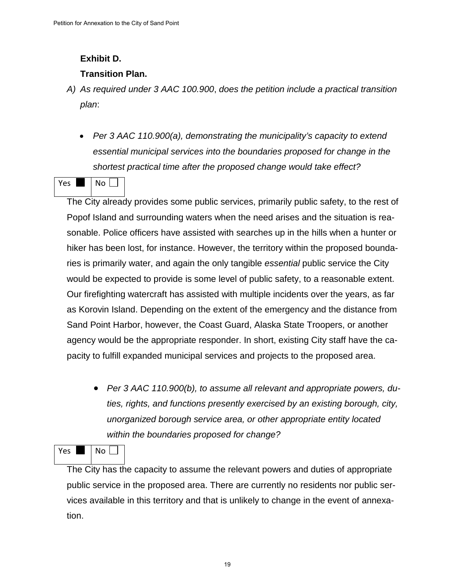#### **Exhibit D.**

#### **Transition Plan.**

- *A) As required under 3 AAC 100.900*, *does the petition include a practical transition plan*:
	- *Per 3 AAC 110.900(a), demonstrating the municipality's capacity to extend essential municipal services into the boundaries proposed for change in the shortest practical time after the proposed change would take effect?*

# $Yes \t | No \t |$

The City already provides some public services, primarily public safety, to the rest of Popof Island and surrounding waters when the need arises and the situation is reasonable. Police officers have assisted with searches up in the hills when a hunter or hiker has been lost, for instance. However, the territory within the proposed boundaries is primarily water, and again the only tangible *essential* public service the City would be expected to provide is some level of public safety, to a reasonable extent. Our firefighting watercraft has assisted with multiple incidents over the years, as far as Korovin Island. Depending on the extent of the emergency and the distance from Sand Point Harbor, however, the Coast Guard, Alaska State Troopers, or another agency would be the appropriate responder. In short, existing City staff have the capacity to fulfill expanded municipal services and projects to the proposed area.

• *Per 3 AAC 110.900(b), to assume all relevant and appropriate powers, duties, rights, and functions presently exercised by an existing borough, city, unorganized borough service area, or other appropriate entity located within the boundaries proposed for change?*

Yes Noll

The City has the capacity to assume the relevant powers and duties of appropriate public service in the proposed area. There are currently no residents nor public services available in this territory and that is unlikely to change in the event of annexation.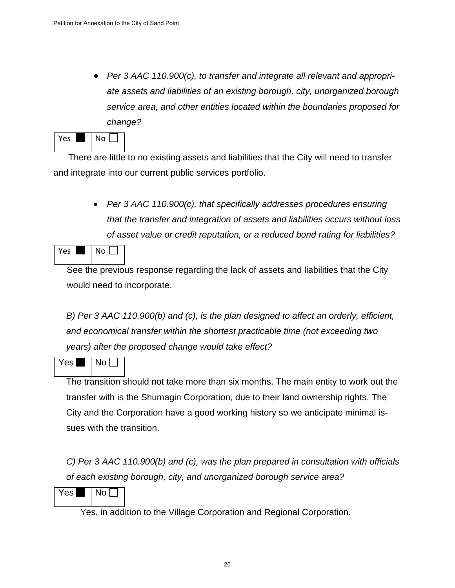• *Per 3 AAC 110.900(c), to transfer and integrate all relevant and appropriate assets and liabilities of an existing borough, city, unorganized borough service area, and other entities located within the boundaries proposed for change?*

| ρc | งก |
|----|----|
|    |    |

 There are little to no existing assets and liabilities that the City will need to transfer and integrate into our current public services portfolio.

> • *Per 3 AAC 110.900(c), that specifically addresses procedures ensuring that the transfer and integration of assets and liabilities occurs without loss of asset value or credit reputation, or a reduced bond rating for liabilities?*

Yes Noll

See the previous response regarding the lack of assets and liabilities that the City would need to incorporate.

*B) Per 3 AAC 110.900(b) and (c), is the plan designed to affect an orderly, efficient, and economical transfer within the shortest practicable time (not exceeding two years) after the proposed change would take effect?* 

Yes  $\blacksquare$   $\blacksquare$  No  $\Box$ 

The transition should not take more than six months. The main entity to work out the transfer with is the Shumagin Corporation, due to their land ownership rights. The City and the Corporation have a good working history so we anticipate minimal issues with the transition.

*C) Per 3 AAC 110.900(b) and (c), was the plan prepared in consultation with officials of each existing borough, city, and unorganized borough service area?* 

 $Yes \blacksquare \blacksquare$  No  $\square$ 

Yes, in addition to the Village Corporation and Regional Corporation.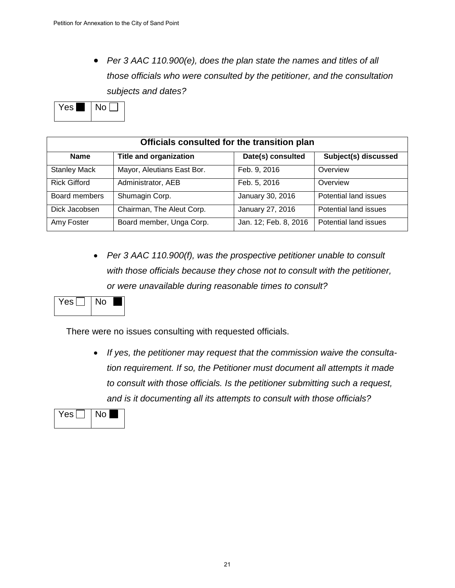• *Per 3 AAC 110.900(e), does the plan state the names and titles of all those officials who were consulted by the petitioner, and the consultation subjects and dates?* 



| Officials consulted for the transition plan |                               |                       |                       |  |
|---------------------------------------------|-------------------------------|-----------------------|-----------------------|--|
| <b>Name</b>                                 | <b>Title and organization</b> | Date(s) consulted     | Subject(s) discussed  |  |
| <b>Stanley Mack</b>                         | Mayor, Aleutians East Bor.    | Feb. 9, 2016          | Overview              |  |
| <b>Rick Gifford</b>                         | Administrator, AEB            | Feb. 5, 2016          | Overview              |  |
| Board members                               | Shumagin Corp.                | January 30, 2016      | Potential land issues |  |
| Dick Jacobsen                               | Chairman, The Aleut Corp.     | January 27, 2016      | Potential land issues |  |
| Amy Foster                                  | Board member, Unga Corp.      | Jan. 12; Feb. 8, 2016 | Potential land issues |  |

• *Per 3 AAC 110.900(f), was the prospective petitioner unable to consult with those officials because they chose not to consult with the petitioner, or were unavailable during reasonable times to consult?* 

Yes  $\Box$   $\Box$  No  $\Box$ 

There were no issues consulting with requested officials.

• *If yes, the petitioner may request that the commission waive the consultation requirement. If so, the Petitioner must document all attempts it made to consult with those officials. Is the petitioner submitting such a request, and is it documenting all its attempts to consult with those officials?*

| - 5 | т |
|-----|---|
|     |   |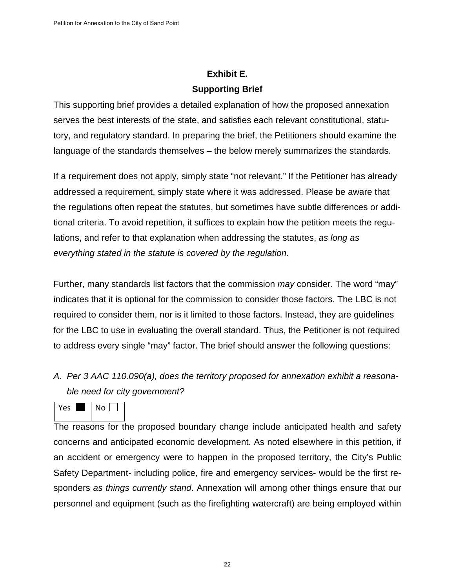# **Exhibit E. Supporting Brief**

This supporting brief provides a detailed explanation of how the proposed annexation serves the best interests of the state, and satisfies each relevant constitutional, statutory, and regulatory standard. In preparing the brief, the Petitioners should examine the language of the standards themselves – the below merely summarizes the standards.

If a requirement does not apply, simply state "not relevant." If the Petitioner has already addressed a requirement, simply state where it was addressed. Please be aware that the regulations often repeat the statutes, but sometimes have subtle differences or additional criteria. To avoid repetition, it suffices to explain how the petition meets the regulations, and refer to that explanation when addressing the statutes, *as long as everything stated in the statute is covered by the regulation*.

Further, many standards list factors that the commission *may* consider. The word "may" indicates that it is optional for the commission to consider those factors. The LBC is not required to consider them, nor is it limited to those factors. Instead, they are guidelines for the LBC to use in evaluating the overall standard. Thus, the Petitioner is not required to address every single "may" factor. The brief should answer the following questions:

*A. Per 3 AAC 110.090(a), does the territory proposed for annexation exhibit a reasonable need for city government?* 

 $Yes \t | No \t |$ 

The reasons for the proposed boundary change include anticipated health and safety concerns and anticipated economic development. As noted elsewhere in this petition, if an accident or emergency were to happen in the proposed territory, the City's Public Safety Department- including police, fire and emergency services- would be the first responders *as things currently stand*. Annexation will among other things ensure that our personnel and equipment (such as the firefighting watercraft) are being employed within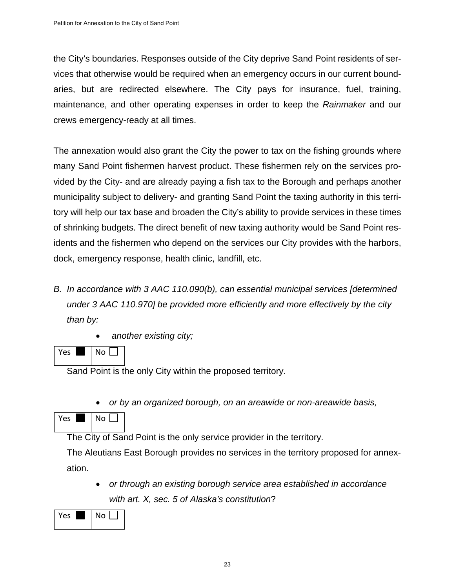the City's boundaries. Responses outside of the City deprive Sand Point residents of services that otherwise would be required when an emergency occurs in our current boundaries, but are redirected elsewhere. The City pays for insurance, fuel, training, maintenance, and other operating expenses in order to keep the *Rainmaker* and our crews emergency-ready at all times.

The annexation would also grant the City the power to tax on the fishing grounds where many Sand Point fishermen harvest product. These fishermen rely on the services provided by the City- and are already paying a fish tax to the Borough and perhaps another municipality subject to delivery- and granting Sand Point the taxing authority in this territory will help our tax base and broaden the City's ability to provide services in these times of shrinking budgets. The direct benefit of new taxing authority would be Sand Point residents and the fishermen who depend on the services our City provides with the harbors, dock, emergency response, health clinic, landfill, etc.

- *B. In accordance with 3 AAC 110.090(b), can essential municipal services [determined under 3 AAC 110.970] be provided more efficiently and more effectively by the city than by:* 
	- *another existing city;*

Yes  $\blacksquare$  | No  $\blacksquare$ 

Sand Point is the only City within the proposed territory.

• *or by an organized borough, on an areawide or non-areawide basis,*

| oc | o |  |
|----|---|--|
|    |   |  |

The City of Sand Point is the only service provider in the territory.

The Aleutians East Borough provides no services in the territory proposed for annexation.

• *or through an existing borough service area established in accordance with art. X, sec. 5 of Alaska's constitution*?

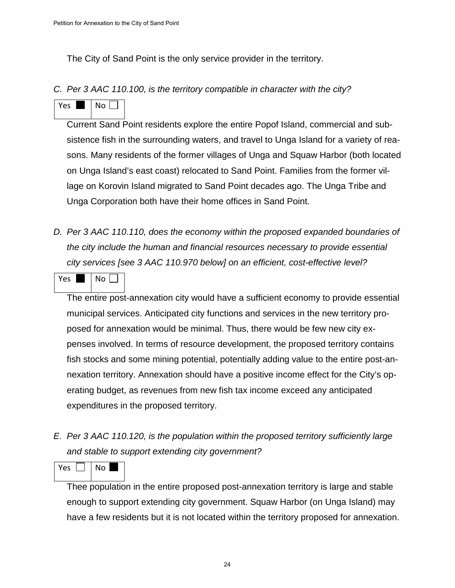The City of Sand Point is the only service provider in the territory.

*C. Per 3 AAC 110.100, is the territory compatible in character with the city?* 

Yes  $\blacksquare$  No  $\blacksquare$ 

Current Sand Point residents explore the entire Popof Island, commercial and subsistence fish in the surrounding waters, and travel to Unga Island for a variety of reasons. Many residents of the former villages of Unga and Squaw Harbor (both located on Unga Island's east coast) relocated to Sand Point. Families from the former village on Korovin Island migrated to Sand Point decades ago. The Unga Tribe and Unga Corporation both have their home offices in Sand Point.

- *D. Per 3 AAC 110.110, does the economy within the proposed expanded boundaries of the city include the human and financial resources necessary to provide essential city services [see 3 AAC 110.970 below] on an efficient, cost-effective level?*
- Yes Noll

The entire post-annexation city would have a sufficient economy to provide essential municipal services. Anticipated city functions and services in the new territory proposed for annexation would be minimal. Thus, there would be few new city expenses involved. In terms of resource development, the proposed territory contains fish stocks and some mining potential, potentially adding value to the entire post-annexation territory. Annexation should have a positive income effect for the City's operating budget, as revenues from new fish tax income exceed any anticipated expenditures in the proposed territory.

*E. Per 3 AAC 110.120, is the population within the proposed territory sufficiently large and stable to support extending city government?* 

 $Yes$   $||$   $|$   $No$   $|$ 

Thee population in the entire proposed post-annexation territory is large and stable enough to support extending city government. Squaw Harbor (on Unga Island) may have a few residents but it is not located within the territory proposed for annexation.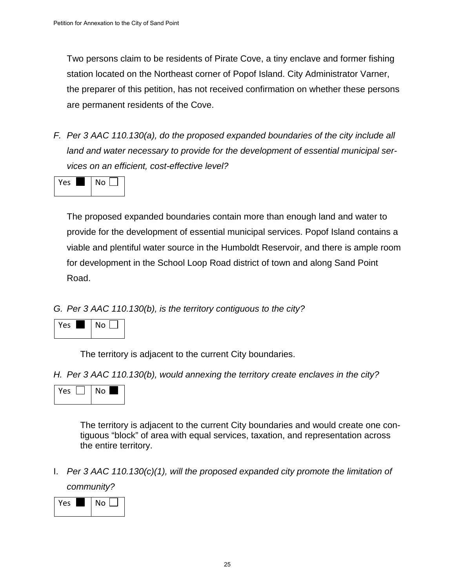Two persons claim to be residents of Pirate Cove, a tiny enclave and former fishing station located on the Northeast corner of Popof Island. City Administrator Varner, the preparer of this petition, has not received confirmation on whether these persons are permanent residents of the Cove.

*F. Per 3 AAC 110.130(a), do the proposed expanded boundaries of the city include all land and water necessary to provide for the development of essential municipal services on an efficient, cost-effective level?* 



The proposed expanded boundaries contain more than enough land and water to provide for the development of essential municipal services. Popof Island contains a viable and plentiful water source in the Humboldt Reservoir, and there is ample room for development in the School Loop Road district of town and along Sand Point Road.

*G. Per 3 AAC 110.130(b), is the territory contiguous to the city?* 



The territory is adjacent to the current City boundaries.

*H. Per 3 AAC 110.130(b), would annexing the territory create enclaves in the city?* 



The territory is adjacent to the current City boundaries and would create one contiguous "block" of area with equal services, taxation, and representation across the entire territory.

I. *Per 3 AAC 110.130(c)(1), will the proposed expanded city promote the limitation of* 

*community?*

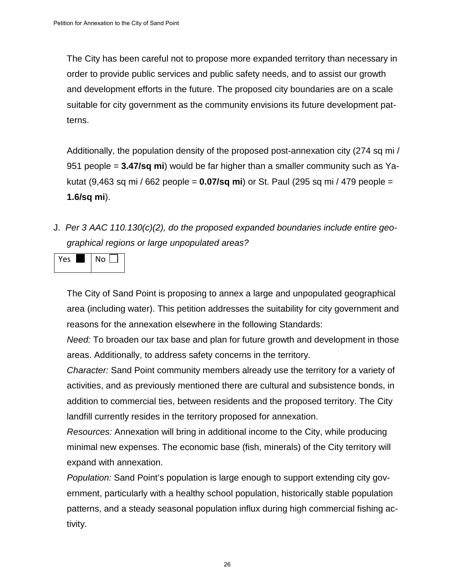The City has been careful not to propose more expanded territory than necessary in order to provide public services and public safety needs, and to assist our growth and development efforts in the future. The proposed city boundaries are on a scale suitable for city government as the community envisions its future development patterns.

Additionally, the population density of the proposed post-annexation city (274 sq mi / 951 people = **3.47/sq mi**) would be far higher than a smaller community such as Yakutat (9,463 sq mi / 662 people = **0.07/sq mi**) or St. Paul (295 sq mi / 479 people = **1.6/sq mi**).

J. *Per 3 AAC 110.130(c)(2), do the proposed expanded boundaries include entire geographical regions or large unpopulated areas?*



The City of Sand Point is proposing to annex a large and unpopulated geographical area (including water). This petition addresses the suitability for city government and reasons for the annexation elsewhere in the following Standards:

*Need:* To broaden our tax base and plan for future growth and development in those areas. Additionally, to address safety concerns in the territory.

*Character:* Sand Point community members already use the territory for a variety of activities, and as previously mentioned there are cultural and subsistence bonds, in addition to commercial ties, between residents and the proposed territory. The City landfill currently resides in the territory proposed for annexation.

*Resources:* Annexation will bring in additional income to the City, while producing minimal new expenses. The economic base (fish, minerals) of the City territory will expand with annexation.

*Population:* Sand Point's population is large enough to support extending city government, particularly with a healthy school population, historically stable population patterns, and a steady seasonal population influx during high commercial fishing activity.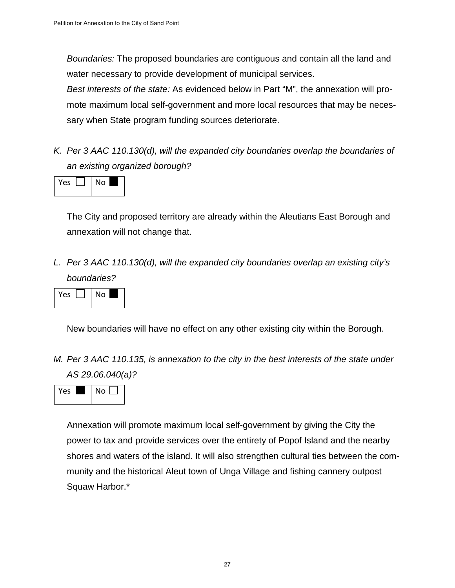*Boundaries:* The proposed boundaries are contiguous and contain all the land and water necessary to provide development of municipal services.

*Best interests of the state:* As evidenced below in Part "M", the annexation will promote maximum local self-government and more local resources that may be necessary when State program funding sources deteriorate.

*K. Per 3 AAC 110.130(d), will the expanded city boundaries overlap the boundaries of an existing organized borough?*



The City and proposed territory are already within the Aleutians East Borough and annexation will not change that.

*L. Per 3 AAC 110.130(d), will the expanded city boundaries overlap an existing city's boundaries?*

| Υρς | ٧о |
|-----|----|
|-----|----|

New boundaries will have no effect on any other existing city within the Borough.

*M. Per 3 AAC 110.135, is annexation to the city in the best interests of the state under AS 29.06.040(a)?* 



Annexation will promote maximum local self-government by giving the City the power to tax and provide services over the entirety of Popof Island and the nearby shores and waters of the island. It will also strengthen cultural ties between the community and the historical Aleut town of Unga Village and fishing cannery outpost Squaw Harbor.\*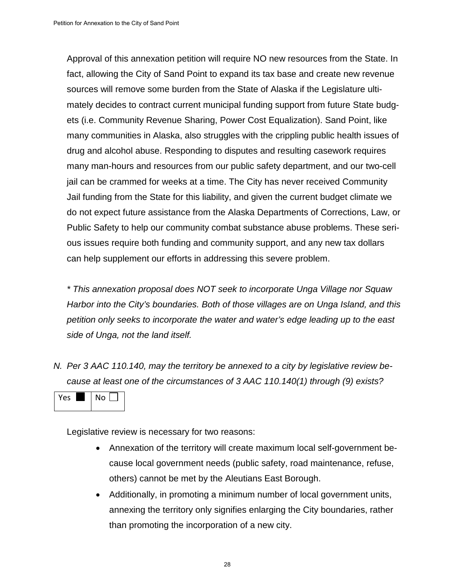Approval of this annexation petition will require NO new resources from the State. In fact, allowing the City of Sand Point to expand its tax base and create new revenue sources will remove some burden from the State of Alaska if the Legislature ultimately decides to contract current municipal funding support from future State budgets (i.e. Community Revenue Sharing, Power Cost Equalization). Sand Point, like many communities in Alaska, also struggles with the crippling public health issues of drug and alcohol abuse. Responding to disputes and resulting casework requires many man-hours and resources from our public safety department, and our two-cell jail can be crammed for weeks at a time. The City has never received Community Jail funding from the State for this liability, and given the current budget climate we do not expect future assistance from the Alaska Departments of Corrections, Law, or Public Safety to help our community combat substance abuse problems. These serious issues require both funding and community support, and any new tax dollars can help supplement our efforts in addressing this severe problem.

*\* This annexation proposal does NOT seek to incorporate Unga Village nor Squaw Harbor into the City's boundaries. Both of those villages are on Unga Island, and this petition only seeks to incorporate the water and water's edge leading up to the east side of Unga, not the land itself.*

*N. Per 3 AAC 110.140, may the territory be annexed to a city by legislative review because at least one of the circumstances of 3 AAC 110.140(1) through (9) exists?* 



Legislative review is necessary for two reasons:

- Annexation of the territory will create maximum local self-government because local government needs (public safety, road maintenance, refuse, others) cannot be met by the Aleutians East Borough.
- Additionally, in promoting a minimum number of local government units, annexing the territory only signifies enlarging the City boundaries, rather than promoting the incorporation of a new city.

28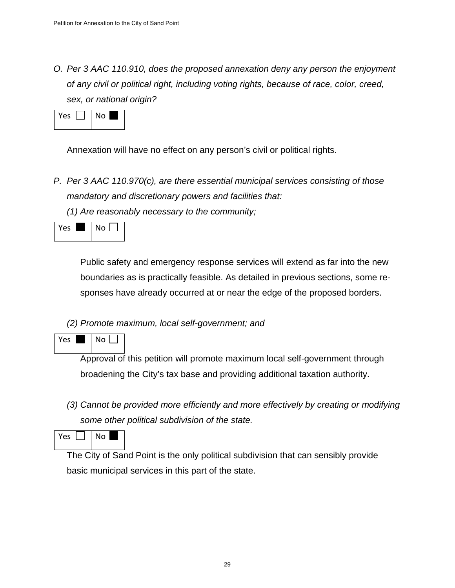*O. Per 3 AAC 110.910, does the proposed annexation deny any person the enjoyment of any civil or political right, including voting rights, because of race, color, creed, sex, or national origin?* 



Annexation will have no effect on any person's civil or political rights.

*P. Per 3 AAC 110.970(c), are there essential municipal services consisting of those mandatory and discretionary powers and facilities that:*

*(1) Are reasonably necessary to the community;*

Yes  $\blacksquare$  No  $\blacksquare$ 

Public safety and emergency response services will extend as far into the new boundaries as is practically feasible. As detailed in previous sections, some responses have already occurred at or near the edge of the proposed borders.

*(2) Promote maximum, local self-government; and*

Yes  $\blacksquare$  No  $\blacksquare$ 

Approval of this petition will promote maximum local self-government through broadening the City's tax base and providing additional taxation authority.

*(3) Cannot be provided more efficiently and more effectively by creating or modifying some other political subdivision of the state.*

Yes  $\Box$  | No |

The City of Sand Point is the only political subdivision that can sensibly provide basic municipal services in this part of the state.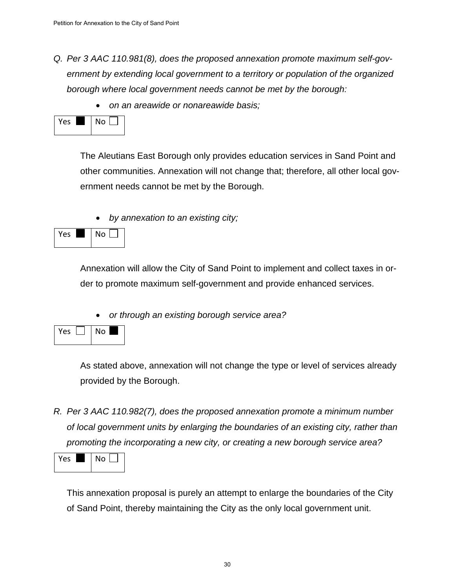- *Q. Per 3 AAC 110.981(8), does the proposed annexation promote maximum self-government by extending local government to a territory or population of the organized borough where local government needs cannot be met by the borough:* 
	- *on an areawide or nonareawide basis;*



The Aleutians East Borough only provides education services in Sand Point and other communities. Annexation will not change that; therefore, all other local government needs cannot be met by the Borough.

• *by annexation to an existing city;* 



Annexation will allow the City of Sand Point to implement and collect taxes in order to promote maximum self-government and provide enhanced services.

• *or through an existing borough service area?* 



As stated above, annexation will not change the type or level of services already provided by the Borough.

*R. Per 3 AAC 110.982(7), does the proposed annexation promote a minimum number of local government units by enlarging the boundaries of an existing city, rather than promoting the incorporating a new city, or creating a new borough service area?* 



This annexation proposal is purely an attempt to enlarge the boundaries of the City of Sand Point, thereby maintaining the City as the only local government unit.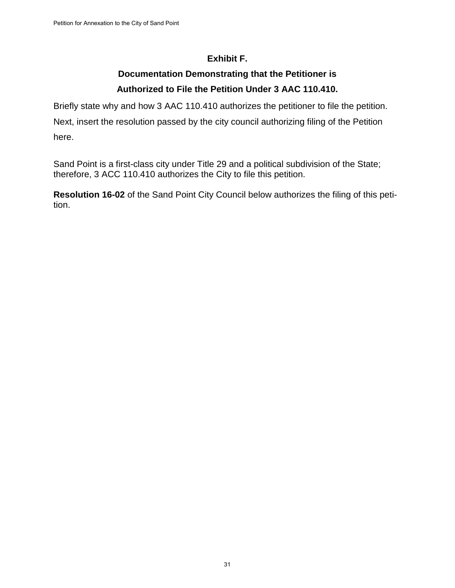#### **Exhibit F.**

## **Documentation Demonstrating that the Petitioner is Authorized to File the Petition Under 3 AAC 110.410.**

Briefly state why and how 3 AAC 110.410 authorizes the petitioner to file the petition.

Next, insert the resolution passed by the city council authorizing filing of the Petition here.

Sand Point is a first-class city under Title 29 and a political subdivision of the State; therefore, 3 ACC 110.410 authorizes the City to file this petition.

**Resolution 16-02** of the Sand Point City Council below authorizes the filing of this petition.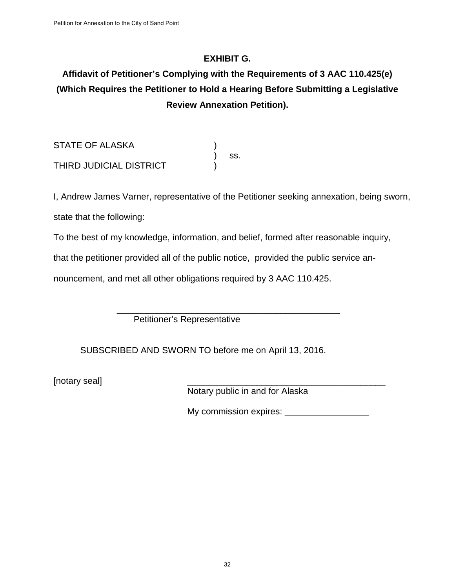#### **EXHIBIT G.**

# **Affidavit of Petitioner's Complying with the Requirements of 3 AAC 110.425(e) (Which Requires the Petitioner to Hold a Hearing Before Submitting a Legislative Review Annexation Petition).**

STATE OF ALASKA ) ss. THIRD JUDICIAL DISTRICT )

I, Andrew James Varner, representative of the Petitioner seeking annexation, being sworn, state that the following:

To the best of my knowledge, information, and belief, formed after reasonable inquiry,

that the petitioner provided all of the public notice, provided the public service an-

nouncement, and met all other obligations required by 3 AAC 110.425.

 \_\_\_\_\_\_\_\_\_\_\_\_\_\_\_\_\_\_\_\_\_\_\_\_\_\_\_\_\_\_\_\_\_\_\_\_\_\_\_\_\_\_\_\_\_ Petitioner's Representative

SUBSCRIBED AND SWORN TO before me on April 13, 2016.

[notary seal]

Notary public in and for Alaska

My commission expires: \_\_\_\_\_\_\_\_\_\_\_\_\_\_\_\_\_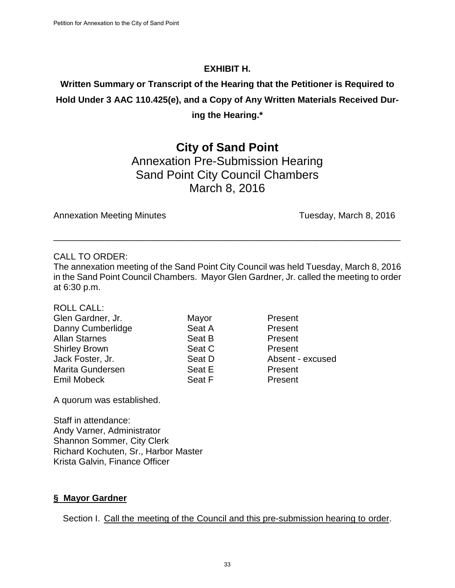#### **EXHIBIT H.**

# **Written Summary or Transcript of the Hearing that the Petitioner is Required to Hold Under 3 AAC 110.425(e), and a Copy of Any Written Materials Received During the Hearing.\***

# **City of Sand Point**

Annexation Pre-Submission Hearing Sand Point City Council Chambers March 8, 2016

Annexation Meeting Minutes **Tuesday, March 8, 2016** 

#### CALL TO ORDER:

The annexation meeting of the Sand Point City Council was held Tuesday, March 8, 2016 in the Sand Point Council Chambers. Mayor Glen Gardner, Jr. called the meeting to order at 6:30 p.m.

\_\_\_\_\_\_\_\_\_\_\_\_\_\_\_\_\_\_\_\_\_\_\_\_\_\_\_\_\_\_\_\_\_\_\_\_\_\_\_\_\_\_\_\_\_\_\_\_\_\_\_\_\_\_\_\_\_\_\_\_\_\_\_\_\_\_\_\_\_\_

| <b>ROLL CALL:</b> |
|-------------------|
|                   |

| Glen Gardner, Jr.    | Mayor  | Present          |
|----------------------|--------|------------------|
| Danny Cumberlidge    | Seat A | Present          |
| <b>Allan Starnes</b> | Seat B | Present          |
| <b>Shirley Brown</b> | Seat C | Present          |
| Jack Foster, Jr.     | Seat D | Absent - excused |
| Marita Gundersen     | Seat E | Present          |
| Emil Mobeck          | Seat F | Present          |
|                      |        |                  |

A quorum was established.

Staff in attendance: Andy Varner, Administrator Shannon Sommer, City Clerk Richard Kochuten, Sr., Harbor Master Krista Galvin, Finance Officer

#### **§ Mayor Gardner**

Section I. Call the meeting of the Council and this pre-submission hearing to order.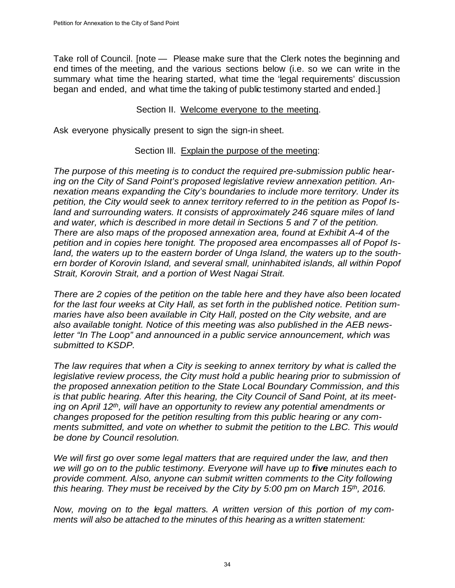Take roll of Council. [note – Please make sure that the Clerk notes the beginning and end times of the meeting, and the various sections below (i.e. so we can write in the summary what time the hearing started, what time the 'legal requirements' discussion began and ended, and what time the taking of public testimony started and ended.]

#### Section II. Welcome everyone to the meeting.

Ask everyone physically present to sign the sign-in sheet.

#### Section III. Explain the purpose of the meeting:

*The purpose of this meeting is to conduct the required pre-submission public hearing on the City of Sand Point's proposed legislative review annexation petition. Annexation means expanding the City's boundaries to include more territory. Under its petition, the City would seek to annex territory referred to in the petition as Popof Island and surrounding waters. It consists of approximately 246 square miles of land and water, which is described in more detail in Sections 5 and 7 of the petition. There are also maps of the proposed annexation area, found at Exhibit A-4 of the petition and in copies here tonight. The proposed area encompasses all of Popof Island, the waters up to the eastern border of Unga Island, the waters up to the southern border of Korovin Island, and several small, uninhabited islands, all within Popof Strait, Korovin Strait, and a portion of West Nagai Strait.*

*There are 2 copies of the petition on the table here and they have also been located for the last four weeks at City Hall, as set forth in the published notice. Petition summaries have also been available in City Hall, posted on the City website, and are also available tonight. Notice of this meeting was also published in the AEB newsletter "In The Loop" and announced in a public service announcement, which was submitted to KSDP.*

*The law requires that when a City is seeking to annex territory by what is called the legislative review process, the City must hold a public hearing prior to submission of the proposed annexation petition to the State Local Boundary Commission, and this is that public hearing. After this hearing, the City Council of Sand Point, at its meeting on April 12th, will have an opportunity to review any potential amendments or changes proposed for the petition resulting from this public hearing or any comments submitted, and vote on whether to submit the petition to the LBC. This would be done by Council resolution.*

*We will first go over some legal matters that are required under the law, and then we will go on to the public testimony. Everyone will have up to five minutes each to provide comment. Also, anyone can submit written comments to the City following this hearing. They must be received by the City by 5:00 pm on March 15th, 2016.*

*Now, moving on to the legal matters. A written version of this portion of my comments will also be attached to the minutes of this hearing as a written statement:*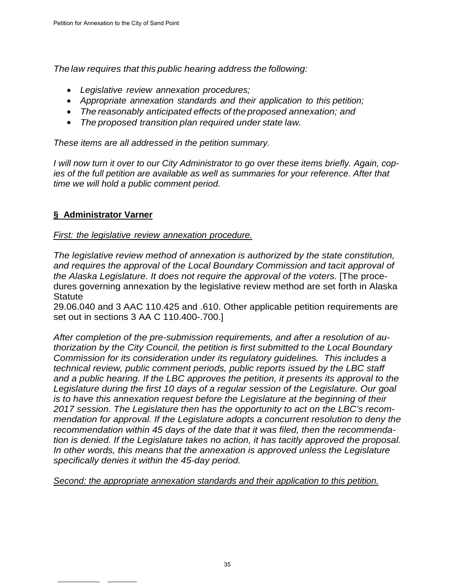*The law requires that this public hearing address the following:*

- *Legislative review annexation procedures;*
- *Appropriate annexation standards and their application to this petition;*
- *The reasonably anticipated effects of the proposed annexation; and*
- *The proposed transition plan required under state law.*

*These items are all addressed in the petition summary.*

*I will now turn it over to our City Administrator to go over these items briefly. Again, copies of the full petition are available as well as summaries for your reference. After that time we will hold a public comment period.*

#### **§ Administrator Varner**

#### *First: the legislative review annexation procedure.*

*The legislative review method of annexation is authorized by the state constitution, and requires the approval of the Local Boundary Commission and tacit approval of the Alaska Legislature. It does not require the approval of the voters.* [The procedures governing annexation by the legislative review method are set forth in Alaska **Statute** 

29.06.040 and 3 AAC 110.425 and .610. Other applicable petition requirements are set out in sections 3 AA C 110.400-.700.]

*After completion of the pre-submission requirements, and after a resolution of authorization by the City Council, the petition is first submitted to the Local Boundary Commission for its consideration under its regulatory guidelines. This includes a technical review, public comment periods, public reports issued by the LBC staff and a public hearing. If the LBC approves the petition, it presents its approval to the Legislature during the first 10 days of a regular session of the Legislature. Our goal is to have this annexation request before the Legislature at the beginning of their 2017 session. The Legislature then has the opportunity to act on the LBC's recommendation for approval. If the Legislature adopts a concurrent resolution to deny the recommendation within 45 days of the date that it was filed, then the recommendation is denied. If the Legislature takes no action, it has tacitly approved the proposal.*  In other words, this means that the annexation is approved unless the Legislature *specifically denies it within the 45-day period.*

*Second: the appropriate annexation standards and their application to this petition.*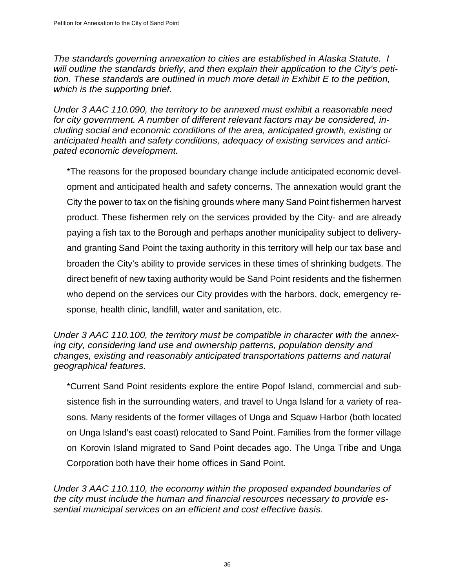*The standards governing annexation to cities are established in Alaska Statute. I will outline the standards briefly, and then explain their application to the City's petition. These standards are outlined in much more detail in Exhibit E to the petition, which is the supporting brief.*

*Under 3 AAC 110.090, the territory to be annexed must exhibit a reasonable need for city government. A number of different relevant factors may be considered, including social and economic conditions of the area, anticipated growth, existing or anticipated health and safety conditions, adequacy of existing services and anticipated economic development.*

\*The reasons for the proposed boundary change include anticipated economic development and anticipated health and safety concerns. The annexation would grant the City the power to tax on the fishing grounds where many Sand Point fishermen harvest product. These fishermen rely on the services provided by the City- and are already paying a fish tax to the Borough and perhaps another municipality subject to deliveryand granting Sand Point the taxing authority in this territory will help our tax base and broaden the City's ability to provide services in these times of shrinking budgets. The direct benefit of new taxing authority would be Sand Point residents and the fishermen who depend on the services our City provides with the harbors, dock, emergency response, health clinic, landfill, water and sanitation, etc.

*Under 3 AAC 110.100, the territory must be compatible in character with the annexing city, considering land use and ownership patterns, population density and changes, existing and reasonably anticipated transportations patterns and natural geographical features.*

\*Current Sand Point residents explore the entire Popof Island, commercial and subsistence fish in the surrounding waters, and travel to Unga Island for a variety of reasons. Many residents of the former villages of Unga and Squaw Harbor (both located on Unga Island's east coast) relocated to Sand Point. Families from the former village on Korovin Island migrated to Sand Point decades ago. The Unga Tribe and Unga Corporation both have their home offices in Sand Point.

*Under 3 AAC 110.110, the economy within the proposed expanded boundaries of the city must include the human and financial resources necessary to provide essential municipal services on an efficient and cost effective basis.*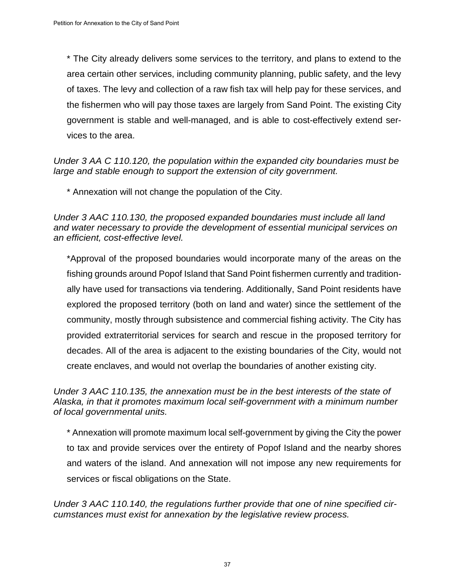\* The City already delivers some services to the territory, and plans to extend to the area certain other services, including community planning, public safety, and the levy of taxes. The levy and collection of a raw fish tax will help pay for these services, and the fishermen who will pay those taxes are largely from Sand Point. The existing City government is stable and well-managed, and is able to cost-effectively extend services to the area.

*Under 3 AA C 110.120, the population within the expanded city boundaries must be large and stable enough to support the extension of city government.* 

\* Annexation will not change the population of the City.

*Under 3 AAC 110.130, the proposed expanded boundaries must include all land and water necessary to provide the development of essential municipal services on an efficient, cost-effective level.* 

\*Approval of the proposed boundaries would incorporate many of the areas on the fishing grounds around Popof Island that Sand Point fishermen currently and traditionally have used for transactions via tendering. Additionally, Sand Point residents have explored the proposed territory (both on land and water) since the settlement of the community, mostly through subsistence and commercial fishing activity. The City has provided extraterritorial services for search and rescue in the proposed territory for decades. All of the area is adjacent to the existing boundaries of the City, would not create enclaves, and would not overlap the boundaries of another existing city.

*Under 3 AAC 110.135, the annexation must be in the best interests of the state of Alaska, in that it promotes maximum local self-government with a minimum number of local governmental units.*

\* Annexation will promote maximum local self-government by giving the City the power to tax and provide services over the entirety of Popof Island and the nearby shores and waters of the island. And annexation will not impose any new requirements for services or fiscal obligations on the State.

*Under 3 AAC 110.140, the regulations further provide that one of nine specified circumstances must exist for annexation by the legislative review process.*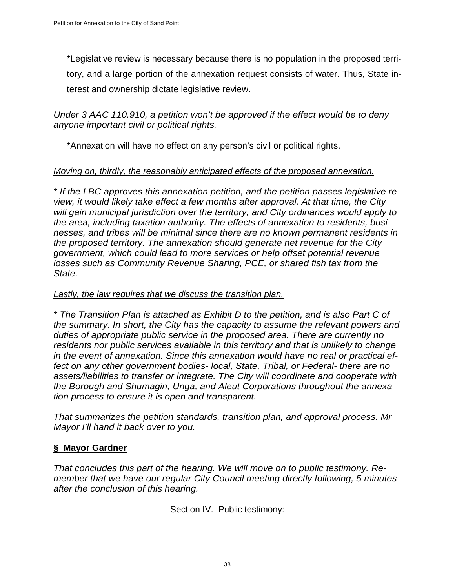\*Legislative review is necessary because there is no population in the proposed territory, and a large portion of the annexation request consists of water. Thus, State interest and ownership dictate legislative review.

*Under 3 AAC 110.910, a petition won't be approved if the effect would be to deny anyone important civil or political rights.*

\*Annexation will have no effect on any person's civil or political rights.

#### *Moving on, thirdly, the reasonably anticipated effects of the proposed annexation.*

*\* If the LBC approves this annexation petition, and the petition passes legislative review, it would likely take effect a few months after approval. At that time, the City will gain municipal jurisdiction over the territory, and City ordinances would apply to the area, including taxation authority. The effects of annexation to residents, businesses, and tribes will be minimal since there are no known permanent residents in the proposed territory. The annexation should generate net revenue for the City government, which could lead to more services or help offset potential revenue losses such as Community Revenue Sharing, PCE, or shared fish tax from the State.*

#### *Lastly, the law requires that we discuss the transition plan.*

*\* The Transition Plan is attached as Exhibit D to the petition, and is also Part C of the summary. In short, the City has the capacity to assume the relevant powers and duties of appropriate public service in the proposed area. There are currently no residents nor public services available in this territory and that is unlikely to change in the event of annexation. Since this annexation would have no real or practical effect on any other government bodies- local, State, Tribal, or Federal- there are no assets/liabilities to transfer or integrate. The City will coordinate and cooperate with the Borough and Shumagin, Unga, and Aleut Corporations throughout the annexation process to ensure it is open and transparent.* 

*That summarizes the petition standards, transition plan, and approval process. Mr Mayor I'll hand it back over to you.*

#### **§ Mayor Gardner**

*That concludes this part of the hearing. We will move on to public testimony. Remember that we have our regular City Council meeting directly following, 5 minutes after the conclusion of this hearing.*

Section IV. Public testimony: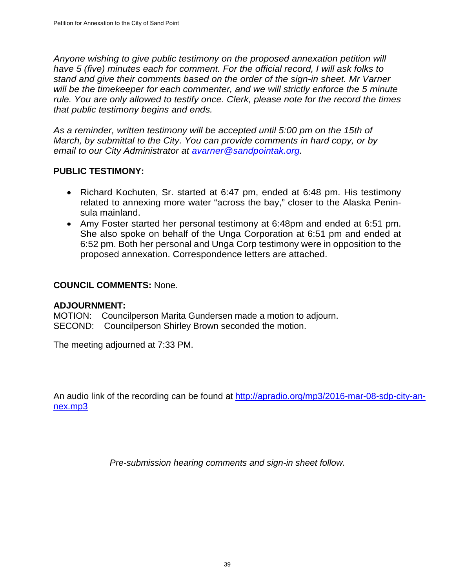*Anyone wishing to give public testimony on the proposed annexation petition will have 5 (five) minutes each for comment. For the official record, I will ask folks to stand and give their comments based on the order of the sign-in sheet. Mr Varner will be the timekeeper for each commenter, and we will strictly enforce the 5 minute rule. You are only allowed to testify once. Clerk, please note for the record the times that public testimony begins and ends.*

*As a reminder, written testimony will be accepted until 5:00 pm on the 15th of March, by submittal to the City. You can provide comments in hard copy, or by email to our City Administrator at [avarner@sandpointak.org.](mailto:avarner@sandpointak.org)* 

#### **PUBLIC TESTIMONY:**

- Richard Kochuten, Sr. started at 6:47 pm, ended at 6:48 pm. His testimony related to annexing more water "across the bay," closer to the Alaska Peninsula mainland.
- Amy Foster started her personal testimony at 6:48pm and ended at 6:51 pm. She also spoke on behalf of the Unga Corporation at 6:51 pm and ended at 6:52 pm. Both her personal and Unga Corp testimony were in opposition to the proposed annexation. Correspondence letters are attached.

#### **COUNCIL COMMENTS:** None.

#### **ADJOURNMENT:**

MOTION: Councilperson Marita Gundersen made a motion to adjourn. SECOND: Councilperson Shirley Brown seconded the motion.

The meeting adjourned at 7:33 PM.

An audio link of the recording can be found at [http://apradio.org/mp3/2016-mar-08-sdp-city-an](http://apradio.org/mp3/2016-mar-08-sdp-city-annex.mp3)[nex.mp3](http://apradio.org/mp3/2016-mar-08-sdp-city-annex.mp3)

*Pre-submission hearing comments and sign-in sheet follow.*